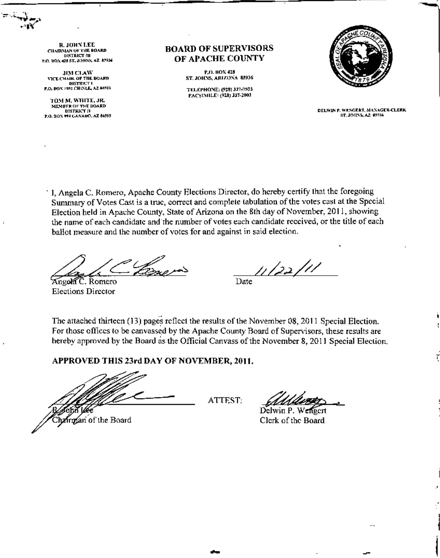R. JOHN LEE **CHAIRMAN OF THE BOARD DISTRICT III** P.O. BOX 426 ST. JOHNS, AZ 45936

**JIM CLAW** VICE CHAIR OF THE BOARD DISTRICT I<br>P.O. BOX 1952 CHESEE, AZ #6503

TOM M. WHITE, JR. MEMBER OF THE BOARD DISTRICT II<br>P.O. BOX 194 GANADO, AZ 86505

#### **BOARD OF SUPERVISORS** OF APACHE COUNTY

P.O. HOX 428 ST. JOHNS, ARIZONA 85936

TELEPHONE: (928) 337-7503 PACSIMILE: (928) J37-2003



DELWIN P. WENGERT, MANAGER-CLERK ST. JOHNS, AZ \$5936

' I, Angela C, Romero, Apache County Elections Director, do hereby certify that the foregoing Summary of Votes Cast is a true, correct and complete tabulation of the votes cast at the Special Election held in Apache County. State of Arizona on the 8th day of November, 2011, showing the name of each candidate and the number of votes each candidate received, or the title of each ballot measure and the number of votes for and against in said election.

Angola C. Romero **Elections Director** 

11/22/11

Date

The attached thirteen (13) pages reflect the results of the November 08, 2011 Special Election. For those offices to be canvassed by the Apache County Board of Supervisors, these results are hereby approved by the Board as the Official Canvass of the November 8, 2011 Special Election.

APPROVED THIS 23rd DAY OF NOVEMBER, 2011.

Chairman of the Board

ATTEST:

Delwin P. Clerk of the Board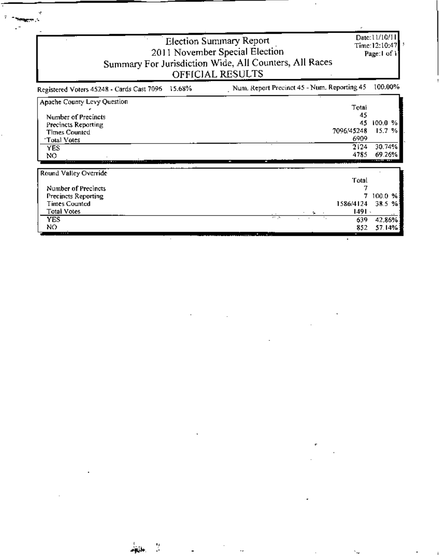| <b>Election Summary Report</b><br>2011 November Special Election<br>Summary For Jurisdiction Wide, All Counters, All Races<br>OFFICIAL RESULTS |                                             |         |  |  |
|------------------------------------------------------------------------------------------------------------------------------------------------|---------------------------------------------|---------|--|--|
| Registered Voters 45248 - Cards Cast 7096 15.68%                                                                                               | Num. Report Precinct 45 - Num. Reporting 45 | 100.00% |  |  |
| Apache County Levy Question                                                                                                                    | Total                                       |         |  |  |
| Number of Precincts                                                                                                                            | 45                                          |         |  |  |
| Precincts Reporting                                                                                                                            | 45                                          | 100.0%  |  |  |
| Times Counted                                                                                                                                  | 7096/45248                                  | 15.7%   |  |  |
| Total Votes                                                                                                                                    | 6909                                        |         |  |  |
| YES                                                                                                                                            | 2124                                        | 30.74%  |  |  |
| NO                                                                                                                                             | 4785                                        | 69.26%  |  |  |

Ŕ

| Round Valley Override      |                              |         |
|----------------------------|------------------------------|---------|
|                            | 'Fotal                       |         |
| Number of Precincts        |                              |         |
| <b>Precincts Reporting</b> |                              | 100.0 % |
| <b>Times Counted</b>       | 1586/4124                    | 38.5%   |
| Total Votes                | 1491 -<br>ъ.                 |         |
| <b>YES</b>                 | 11 D<br>$\sim$ $\sim$<br>639 | 42.86%  |
| NO                         | 852                          | 57.14%  |
| .                          |                              |         |

.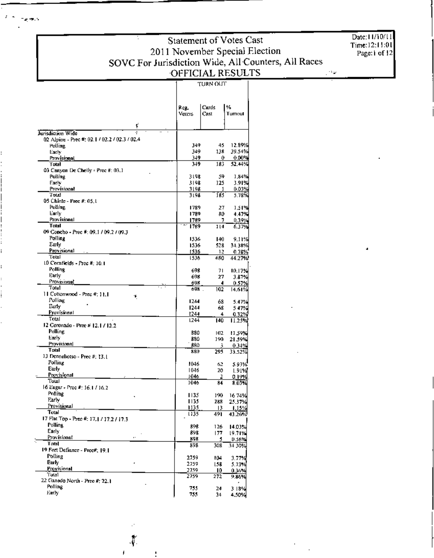Date: 11/10/11 Time:12:11:01<br>Page:1 of 12

الوقدي

TURN OUT

|                                                               | Reg.         | Cards      | %              |
|---------------------------------------------------------------|--------------|------------|----------------|
|                                                               | Voters       | Cast       | Turnout        |
| ť                                                             |              |            |                |
| Jurisdiction Wide                                             |              |            |                |
| 02 Alpine - Prec #: 02.1 / 02.2 / 02.3 / 02.4<br>Polling      | 349          | 45         | 12.89%         |
| Early                                                         | 349          | 138        | 39.54%         |
| Provisional                                                   | 349          | 0          | $0.00\%$       |
| Trast                                                         | 349          | 185        | 52.44%         |
| 03 Canyon De Chelly - Prec #: 03.1                            |              |            |                |
| Polling                                                       | 3198         | 59         | 1.84%          |
| Early                                                         | 3198         | 125        | 3.91%          |
| Provisional                                                   | 3198         | 1          | 0.03%          |
| Total<br>05 Chinie - Prec #: 05.1                             | 3198         | 185        | 5.78%          |
| Polling                                                       | 1789         | 27         | 1,51%          |
| Early                                                         | 1789         | RO.        | 4.47%          |
| Provisional                                                   | 1789         | 7          | 0.39%          |
| Total                                                         | 1789.        | 114        | 6.37%          |
| 09 Concho - Prec #: 09.1 / 09.2 / 09.3                        |              |            |                |
| Polline                                                       | 1536         | 140        | 9.11%          |
| Early                                                         | 1536         | 528        | 34.31%         |
| Provisional                                                   | ES36.        | 12         | 0.78%          |
| Total                                                         | 1536         | 680        | 44.27%         |
| 10 Cornfields - Prec #: 10.1                                  |              |            |                |
| Polling                                                       | 698          | 71         | 10.17%         |
| Early<br>Provisional                                          | 698          | 27         | 3.87%          |
| Total                                                         | 698<br>691.  | 4          | 0.57%          |
| $\textsf{H}$ Cottonwood - Prec #; $\textsf{H}$ , $\textsf{H}$ |              | 102        | 14.61%         |
| ۰κ<br>Polling                                                 | 1244         | 68         | 5.47%          |
| Eurly                                                         | 1244         | 68         | 5 47%          |
| Provisionall                                                  | 1244         | 4          | 0.32%          |
| Total                                                         | 1244         | 140        | 11.25%         |
| 12 Coronado - Prec # 12.1 / 12.2                              |              |            |                |
| Polling                                                       | B80          | 102        | 11.59%         |
| Early                                                         | 880          | 190        | 21.59%         |
| Provisional                                                   | 880          | 3          | $0.34\%$       |
| Total                                                         | 880          | 295        | 33.52%         |
| 13 Denneliotso - Prec #; 13.1<br>Polling                      |              |            |                |
| Early                                                         | 1046         | 62         | 5.93%          |
| Provisional                                                   | 1046<br>1046 | 20         | 1.91%          |
| Total                                                         | 1046         | 2<br>84    | 0.19%<br>8.03% |
| 16 Eagar - Prec #: 16.1 / 16.2                                |              |            |                |
| Polling                                                       | 1135         | 190        | 16 74%)        |
| Early                                                         | 1135         | 288        | 25.37%         |
| Provisiunal                                                   | 1135         | 13         | 1.15%          |
| Total                                                         | 1135         | 491        | 43.26%         |
| 17 Flat Top - Prec #: 17,   / 17.2 / 17.3                     |              |            |                |
| Polling,                                                      | 898          | 126        | 14.03%         |
| Early                                                         | 898          | 177        | 19.71%         |
| Provisional<br>ò.<br>Total                                    | 89R          | 5.         | 0.56%          |
| 19 Fort Definner - Pree#; 19.1                                | 393          | 308)       | 34 30%         |
| Polling                                                       |              |            |                |
| Early                                                         | 2759         | 104        | 3.77%          |
| Provisional                                                   | 2759<br>2759 | l 18       | 5.73%          |
| 'Fotal                                                        | 2759         | 10.<br>272 | 0.36%<br>9.86% |
| 22 Ganado North - Prec #: 22.1                                |              |            |                |
| Polling                                                       | 755          | 24         | 3 18%          |
| Early                                                         | - 55         | 34         | 4.50%          |

√.

j.

**Service**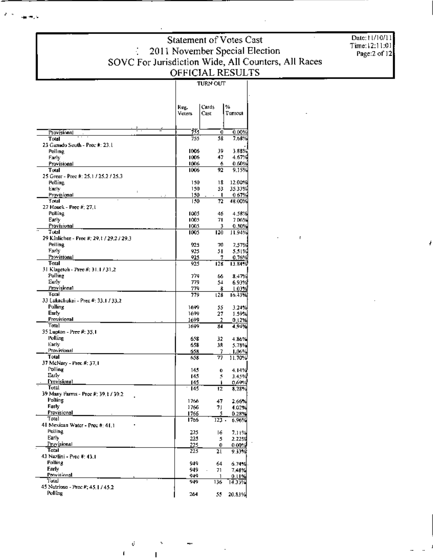Date: 11/10/11 Time:12:11:01<br>Page:2 of 12

|                                                | keg.<br>Voters | Cards<br>Cast              | ₩<br>Turnout     |
|------------------------------------------------|----------------|----------------------------|------------------|
|                                                |                |                            |                  |
| Provisional<br>Total                           | 73 J<br>755    | 0<br>58                    | 0.00%<br>7.68%   |
| 23 Ganado South - Prec #: 23.1                 |                |                            |                  |
| Polling                                        | 1006           | 39                         | $3.88\%$         |
| Farly                                          | 1006.          | 47                         | 4.67%            |
| Provisional                                    | 1006           | 6                          | 0.60%            |
| Total<br>25 Green - Prec #: 25.1 / 25.2 / 25.3 | 1006           | 92                         | 9.15%            |
| Polling                                        | 150            | 18                         | 12.00%           |
| Early                                          | 150            | 53                         | 35.33%           |
| $\ddot{\phantom{a}}$<br>Provisional            | 150            | л.                         | 0.67%            |
| Total                                          | 150            | 72                         | 48.00%           |
| 27 Houck - Prec #; 27,1                        |                |                            |                  |
| Polling                                        | 1005           | 46                         | 4.58%            |
| Early<br>Provisional                           | 1005.          | 71                         | 7 DG%            |
| Tutal                                          | 1005.<br>1005  | 3<br>120                   | 0.30%<br>11.94%  |
| 29 Kinlichee - Prec #; 29,1 / 29,2 / 29,3      |                |                            |                  |
| Polling                                        | 925            | 70                         | 7.57%            |
| Early                                          | 925            | 51                         | 5.51%            |
| Provisional                                    | 925            | 7.                         | 0.76%            |
| Total                                          | 925            | 128                        | 13.84%           |
| 31 Klagetoh - Prec #: 31.1 / 31.2              |                |                            |                  |
| Polling<br>Early                               | 774            | 66                         | 8.47%            |
| Provisional                                    | 779<br>779     | 54<br>8                    | 6.93%<br>1.03%   |
| Total                                          | 779            | 128                        | 16.43%           |
| 33 Eukachukai - Prec #: 33.1 / 33.2            |                |                            |                  |
| Polling                                        | 1699           | 55                         | 3.24%            |
| Early                                          | 1699           | 27                         | 1.59%            |
| Provisional                                    | 1699           | 2                          | 0.12%            |
| Total                                          | 1699           | 84                         | 4.94%            |
| 35 Lupton - Prec #: 35,1<br>Polling            | 658            | 32                         | 4.86%            |
| Early                                          | 658            | 38                         | 5.78%            |
| Provisional                                    | 658            | 7                          | 1.06%            |
| Total                                          | 658            | 77                         | 11.70%           |
| 37 McNary - Prec #: 37,1                       |                |                            |                  |
| Polling                                        | 14.1           | 6                          | 4.14%            |
| Early                                          | 14.            | 5                          | 3.45%            |
| Provisional<br>Total                           | 145            | f.                         | 0.69%            |
| 39 Many Farms - Pree #: 39.1 / 39.2            | 145            | 12                         | 3.23%            |
| Polling                                        | 1766           | 47                         | 2.66%            |
| Early                                          | 1766           | 71                         | 4.02%            |
| Provisional                                    | 1766           | 5                          | 0.28%            |
| Total                                          | 1766           | $123 -$                    | 6.96%            |
| 41 Mexican Water - Prec #: 41.1                |                |                            |                  |
| Polling<br>Early                               | 225            | 16                         | 7.11%            |
| Provisional                                    | 225<br>225     | 5.                         | 2.22%            |
| Total                                          | 225            | 0.<br>21                   | 0.00%<br>9. IO W |
| 43 Nazijni - Prec #: 43.1                      |                |                            |                  |
| <b>Polling</b>                                 | 949            | 64                         | 6.74%            |
| Early                                          | 949            | 71<br>$\ddot{\phantom{0}}$ | 7.48%            |
| Provisional                                    | 949            | $\mathbf{1}$               | 0.11%            |
| Total<br>45 Nutrioso - Prec #: 45   / 45.2     | 949            | 136                        | 14.33%           |
| Polling                                        | 264            |                            | 20.83%           |
|                                                |                | 55.                        |                  |

**TURN OUT** 

 $\overline{\phantom{a}}$ 

 $\mathbf{I}$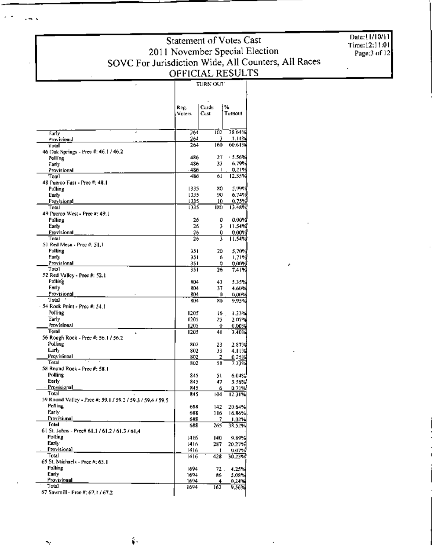Date:11/10/11 Time:12:11:01<br>Page:3 of 12

## Statement of Votes Cast 2011 November Special Election<br>SOVC For Jurisdiction Wide, All Counters, All Races<br>OFFICIAL RESULTS

|                                                                     |                | Cards     | %                  |  |  |
|---------------------------------------------------------------------|----------------|-----------|--------------------|--|--|
|                                                                     | Reg.<br>voters | Cust      | Tumout             |  |  |
|                                                                     |                |           |                    |  |  |
|                                                                     |                |           |                    |  |  |
| Early                                                               | 264            | 102       | 38 64%             |  |  |
| Provisional                                                         | 264            | 3         | 1.14%              |  |  |
| Total                                                               | 264            | 160       | 60.61%             |  |  |
| 46 Oak Springs - Prec #: 46.1 / 46.2<br>Polling                     | 486            | 27        | - 5.56%            |  |  |
| Early                                                               | 486            | 33        | 6.79%              |  |  |
| Provisional                                                         | - 486          | ı         | 0.21%              |  |  |
| Tolal                                                               | 486            | 61        | 12.55%             |  |  |
| 48 Puerco Flast - Prec #: 48.1                                      |                |           |                    |  |  |
| Polling<br>Early                                                    | 1335<br>1335   | 80<br>90. | 5.99%<br>6.74%     |  |  |
| Provisional                                                         | 1335           | 10        | $0.75\%$           |  |  |
| Total                                                               | 1335           | 180       | 13.48%             |  |  |
| 49 Puerco West - Prec #: 49.1                                       |                |           |                    |  |  |
| Polling                                                             | 26             | 0         | 0.00%              |  |  |
| Early                                                               | 26             | Į,        | 11.54%             |  |  |
| Provisional<br>Total                                                | 26<br>26       | 0<br>3    | $0.00\%$<br>II.54% |  |  |
| 51 Red Mesa - Prec #: 51.1                                          |                |           |                    |  |  |
| Polling                                                             | 351            | 20        | 5.70%              |  |  |
| Farty                                                               | 351            | 6         | 1.71%              |  |  |
| Provisional                                                         | 351            | 0         | 0.00%              |  |  |
| Total<br>52 Red Valley - Prec #: 52.1                               | 351            | 26        | 7.41%              |  |  |
| Polling                                                             | 804            | 43        | 5.35%              |  |  |
| Farly                                                               | 804            | 37        | 4.60%              |  |  |
| Provisional                                                         | 804            | 0         | 0.00%              |  |  |
| Total                                                               | BO4            | 80        | 9.95%              |  |  |
| · 54 Rock Point - Prec #: 54.1                                      |                |           |                    |  |  |
| Polling<br>Early                                                    | 1205<br>1205   | 16        | 1.33%              |  |  |
| Provisional                                                         | 1205           | 25<br>0   | 207%<br>$0.00\%$   |  |  |
| Total<br>i.                                                         | 1205           | 41        | 3.40%              |  |  |
| 56 Rough Rock - Prec #: 56.1 / 56.2                                 |                |           |                    |  |  |
| Polling                                                             | 802            | 23        | 2.87%              |  |  |
| farl∀                                                               | 802            | 33        | 4.11%              |  |  |
| Provisional<br>Total                                                | 802<br>802     | 2<br>58   | $0.25\%$           |  |  |
| 58 Round Rock - Prec #: 58.1                                        |                |           | 7.23%              |  |  |
| Polling                                                             | 845            | 51        | $6.04\%$           |  |  |
| Early                                                               | 845            | 47        | 5.56%              |  |  |
| · Provisional                                                       | 845            | 6         | 0.71%              |  |  |
| Total<br>59 Round Valley - Prec #: 59.1 / 59.2 / 59.3 / 59.4 / 59.5 | 845            | 104       | 12.31%             |  |  |
| Polling                                                             | 688            | 142       | 20.64%             |  |  |
| Early                                                               | 688            | 116       | 16.86%             |  |  |
| Provisional                                                         | 688            | 7         | $1.02\%$           |  |  |
| Total                                                               | 688            | 265       | 38.52%             |  |  |
| 61 St. Johns - Prec# 61,1761,2761,3761.4                            |                |           |                    |  |  |
| Polling<br>Early                                                    | 14 E 6         | 140       | 9,89%              |  |  |
| Provisional                                                         | 1416.<br>1416. | 287<br>Ł  | 20.27%<br>0.07%    |  |  |
| Total                                                               | 1416           | 428       | 30.23%             |  |  |
| 65 St. Michaels - Pree #: 65.1                                      |                |           |                    |  |  |
| Polling                                                             | 1694           | 72.       | 4.25%              |  |  |
| Early<br>Provisional                                                | 1694           | 86        | 5.08%              |  |  |
| Total                                                               | 1694<br>1694   | 4<br>162  | 0.24%<br>9.56%     |  |  |
| 67 Sawmill - Pree #; 67,1 / 67,2                                    |                |           |                    |  |  |

 $\cdot$   $\cdot$ 

ų,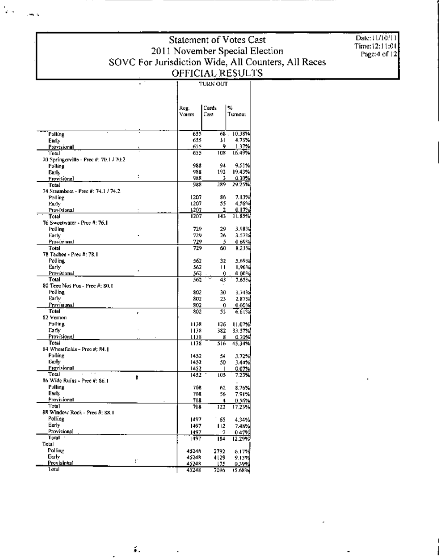1

Date: 11/10/11 Time:12:11:01<br>Page:4 of 12

|                                          | Reg.<br>Voters | Cards<br>Cast | ×,<br>Turnout     |
|------------------------------------------|----------------|---------------|-------------------|
| Polling                                  | 655            | 68.           | 10.38%            |
| Early                                    | 655            | 31            | 4.73%             |
| Provisional                              | 655            | 9             | 1.37%             |
| Totul                                    | 655            | 10#           | 16.49%            |
| 70 Springerville - Prec #: 70.1 / 70.2   |                |               |                   |
| Polling                                  | 988            | 94            | 9.51 X            |
| Early<br>÷                               | 988            | 192           | 19.43%<br>0.30%   |
| Provisional<br>Total                     | 988<br>988     | 3<br>289      | 29.25%            |
| 74 Steamboat - Prec #: 74.1 / 74.2       |                |               |                   |
| Polling                                  | 1207           | 86            | 7.13%             |
| Farly                                    | 1207           | 55            | 4.56%             |
| Provisional                              | 1202           | 2             | 0.17%             |
| Total                                    | 1207           | 143           | 31.85%            |
| 76 Sweetwater - Prec #: 76.1             |                |               |                   |
| Polling                                  | 729            | 29            | 3.98%             |
| Early                                    | 729            | 26            | 3.57%             |
| Provisional<br>Total                     | 729<br>729     | 5<br>60       | $0.69\%$<br>B.23% |
| 78 Tachee - Prec #: 78.1                 |                |               |                   |
| Polline                                  | 562            | 32            | 5.69%             |
| Early                                    | 562            | ш             | 1,96%             |
| Provisional                              | 562            | 0             | 0.00%             |
| Total                                    | 562            | 43            | 7.65%             |
| 80 Teec Nos Pos - Prec #: 80,1           |                |               |                   |
| Polling                                  | 802            | 30            | 3.74%             |
| Farly<br>Provisional                     | 802<br>302     | 23<br>0       | 2,87%<br>0.00%    |
| Total<br>ŀ                               | 802            | 51            | 6.61%             |
| 82 Vernoni                               |                |               |                   |
| Polling                                  | E 1,38         | 126           | 11.07%            |
| Early                                    | 1138           | 382           | 33.57%            |
| Provisional                              | 1138           | B             | 0.70%             |
| Total                                    | 1138           | 516           | 45.34%            |
| 84 Wheatfields - Pree #; 84.1            |                |               |                   |
| Polling<br>Early                         | 1452<br>1452   | 54            | 3.72 X            |
| Pravisional                              | 1452           | 50<br>-1      | 3.44%<br>0.07%    |
| Total                                    | 1452           | 105           | 7.23%             |
| ŧ<br>86 Wide Ruins - Prec #: 86.1        |                |               |                   |
| Polling                                  | 708            | 62            | 8.76%             |
| Early                                    | 70R            | 56            | 7.91%             |
| Provisional                              | 708            | 4             | 0.56%             |
| Total                                    | 708            | 122           | 17.23%            |
| 88 Window Rock - Prec #: 88.1<br>Polling |                |               |                   |
| Early                                    | 1497<br>1497   | 65<br>112     | 4.34%             |
| Provisional                              | 1497           | 7             | 7.48%<br>0.47%    |
| Total $\overline{\phantom{a}}$           | 1497           | 184           | 12.29%            |
| Total                                    |                |               |                   |
| Polling                                  | 45248          | 2792          | 6.17%             |
| Euly<br>r                                | 45248          | 4129          | 9.13%             |
| Provisional                              | 45248          | 175           | 0.39%             |
| Totul                                    | 45248          | 7096          | 15.68%            |

έ.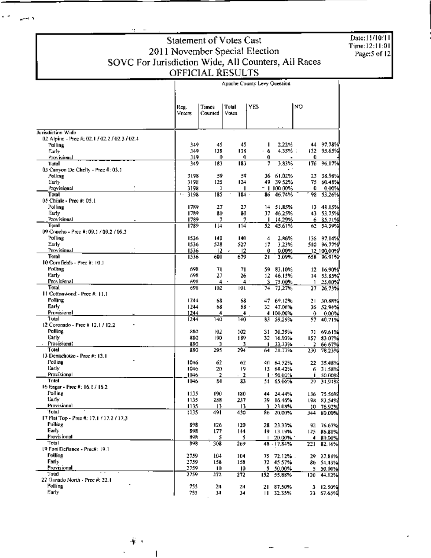Date:11/10/11<br>Time:12:11:01<br>Page:5 of 12

# Statement of Votes Cast<br>2011 November Special Election<br>SOVC For Jurisdiction Wide, All Counters, All Races<br>OFFICIAL RESULTS

والمسير

|                                                          | Apache County Levy Question  |                  |                |              |                        |          |                    |  |
|----------------------------------------------------------|------------------------------|------------------|----------------|--------------|------------------------|----------|--------------------|--|
|                                                          | Reg.<br>Voters               | Times<br>Counted | Total<br>Votes | YES.         |                        | NO       |                    |  |
|                                                          |                              |                  |                |              |                        |          |                    |  |
| Jurisdiction Wide                                        |                              |                  |                |              |                        |          |                    |  |
| 02 Alpine - Prec #; 02.1 / 02.2 / 02.3 / 02.4<br>Polling | 149                          | 45               | 45             | ı            | 2.22%                  | 44.      | 97.78%             |  |
| Farly                                                    | 349                          | 138              | 138            | ه ۰          | $4.35\%$ :             | 132      | 95.65%             |  |
| Provisional                                              | 349                          | 0.               | Ð              | 0.           |                        | 0        |                    |  |
| Total<br>03 Canvon De Chelly - Prec #: 03.1              | 349                          | 183              | 183            | 7            | 3.83%                  | 176      | 96.17%             |  |
| Polling                                                  | 3198                         | 59               | 59             |              | 36 61.02%              | 23       | 38.98%             |  |
| Early                                                    | 3198                         | 125              | 124            | 49.          | 39 52%                 | 75       | 60.48%             |  |
| Provisional                                              | 3198                         | ı                | п              |              | = 1 100 00%            | 0        | 0.00%              |  |
| Total<br>05 Chinle - Prec #: 05.1                        | $\ddot{\phantom{a}}$<br>3198 | 185              | 184            | 86           | 46.74%                 | 98       | 53.26%             |  |
| Polline                                                  | 1789                         | 27               | 27             | 14           | 51,85%                 | 13.      | 48.15%             |  |
| Early                                                    | 1789                         | 80               | 80             |              | 37 46.25%              |          | 43 53.75%          |  |
| Provisional                                              | 1789                         | 7                | 7              | $\mathbf{L}$ | 14.29%                 | 6.       | 85.71%             |  |
| Total                                                    | 1789                         | 114              | 114            | 52.          | 45.61%                 | 62       | 54.39%             |  |
| 09 Concho - Prec #: 09.1 / 09.2 / 09.3<br>Polling        | 1536                         | 140              | 140            | 4            | 2.86%                  | 136      | 97.14%             |  |
| Early                                                    | 1536                         | 528              | 527            | 17           | 3.23%                  |          | 510 96.77%         |  |
| Provisional                                              | 1536                         | $12-12$          | 12<br>r.       | Û            | 0.00%                  |          | 12 100.00%         |  |
| Total                                                    | 1536                         | 680              | 679            | 21           | 3.09%                  | 658      | 96.91%             |  |
| 10 Comfields - Prec #: 10.1                              |                              |                  |                |              |                        |          |                    |  |
| Polling<br>Farly                                         | 693<br>693                   | 71<br>27         | 71<br>26       | 59.          | 83.10%<br>12 46.15%    | 12<br>14 | 16.90%<br>53.85%   |  |
| Provisional                                              | 698                          | 4                | $4$ .          | 3.           | 75.00%                 | 1        | 25.00%             |  |
| Total                                                    | 698                          | 102              | 10 L           | 74. .        | 73,27%                 | 27       | 26.73%             |  |
| $11$ Cottonwood - Prec #: 11.1                           |                              |                  |                |              |                        |          |                    |  |
| Polling                                                  | 1244                         | 68               | 68             | 47.          | 69.12%                 | 21       | 30.88%             |  |
| Early<br>Provisional                                     | 1244<br>1244                 | 68<br>4          | 68 -<br>4      |              | 32 47.06%<br>4 100,00% | 36<br>0  | - 52.94% <br>0.00% |  |
| luto l'                                                  | 1244                         | 140              | 140            | 83           | \$9.29%                | 57       | 40.71%             |  |
| 12 Coronado - Pree # 12.1 / 12.2                         |                              |                  |                |              |                        |          |                    |  |
| Palling                                                  | 880                          | 102              | 102            | 31           | 30.39%                 | 71       | 69.61%             |  |
| Early<br>Provisional                                     | 880<br>880                   | 190<br>э         | 189<br>3       | 32<br>п      | 16.93%<br>33.33%       | 2        | 157 83 07%         |  |
| Total                                                    | 880                          | 295              | 294            | 64.          | 21.77%                 | 230      | 66.67%<br>78.23%   |  |
| 13 Dennehotso - Prec #: 13.1                             |                              |                  |                |              |                        |          |                    |  |
| Polling                                                  | 1046                         | 62               | 62             | 40.          | 64.52%                 | 22       | 35.48%             |  |
| Early<br>Provisional                                     | 1046                         | 20               | 19             |              | 13 6R 42%              | 6        | 31.58%             |  |
| Tatal                                                    | 1046<br>1046                 | 2<br>84          | 2<br>83        | 54.          | $1 - 50.00%$<br>65.06% | п<br>29  | 50.00%<br>34,94%   |  |
| 16 Eagar - Prec #: 16.1 / 16.2                           |                              |                  |                |              |                        |          |                    |  |
| Polling                                                  | 1135                         | 190              | 180            |              | 44 24.44%              |          | 136 75.56%         |  |
| Eurly                                                    | 1135                         | 288              | 237            |              | 39 16.46%              |          | 198 83.54%         |  |
| Provisional<br>Total                                     | 1135.<br>1135                | 13<br>491        | 13<br>430      |              | 3 23.03%<br>86 20,00%  |          | 10 76.92%          |  |
| 17 Flat Top - Prec #: 17.1 / 17.2 / 17.3                 |                              |                  |                |              |                        |          | 344 80.00%         |  |
| Polling                                                  | 898                          | 126              | 120            |              | 28 23:33%              |          | 92 76.67%          |  |
| Early                                                    | 898                          | 177              | 144            |              | 19 13.19%              |          | 125 86.81%         |  |
| Provisional<br>Total                                     | 898                          | 3                | 5.             |              | 1 20.00%               |          | 4 80,00%           |  |
| 19 Fort Defiance - Precil: 19.1                          | 898                          | 308              | 269            |              | 48 - 17.84%            | 221      | 82.16%             |  |
| Polling                                                  | 2759                         | 104              | 104            | 75.          | 72.12%.                |          | 29 27.88%          |  |
| Early,                                                   | 2759                         | 158              | 158            |              | 72 45 57%              |          | 86 54.43%          |  |
| Provisional                                              | 2759                         | 10.              | ю              |              | 5 50.00%               |          | 5 50.00%           |  |
| Total<br>22 Ganado North - Prec #: 22.1                  | 2759                         | 272              | 272            | 152.         | 55.88%                 | 120      | 44.12%             |  |
| Polling                                                  | 755                          | 24               | 24             |              | 21 87.50%              |          | 3 12.50%           |  |
| Early                                                    | 755                          | 34               | 34             |              | 11 32.35%              |          | 23 67.65%          |  |
|                                                          |                              |                  |                |              |                        |          |                    |  |

重工

ı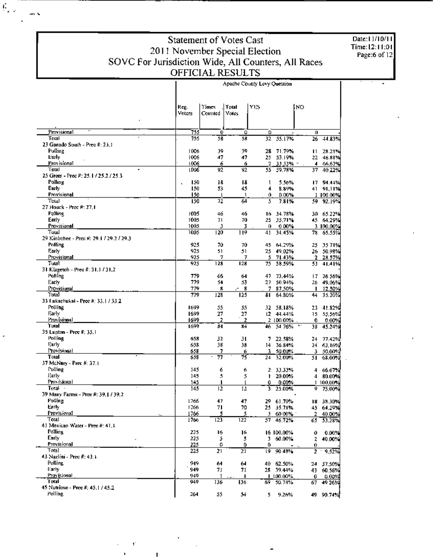$\mathcal{C}_{\mu,\nu}$ 

iek ta

Date:11/10/11<br>Time:12:11:01<br>Page:6 of 12

|                                                |                |                 |                | Apache County Levy Question |                        |         |                        |
|------------------------------------------------|----------------|-----------------|----------------|-----------------------------|------------------------|---------|------------------------|
|                                                | Reg.<br>Voters | Times<br>Commed | Total<br>Votes | YES                         |                        | NO      |                        |
| Provisional                                    | 755            |                 |                |                             |                        |         |                        |
| Total                                          | 755            | 0<br>58         | Û<br>58        | 0<br>32.                    | 55.17%                 | 0<br>26 | 44.83%                 |
| 23 Ganado South - Prec #: 23.1                 |                |                 |                |                             |                        |         |                        |
| Polling                                        | 1006           | 39              | 39             |                             | 28 71.79%              | ш       | 28.21%                 |
| Ewly                                           | 1006           | 47              | 47             |                             | 25 53.19%              |         | 22 46.81%              |
| Provisional<br>٠                               | 1006           | 6               | 6              | 2                           | 33.33% =               | 4.      | 66,67%                 |
| Total<br>25 Green - Prec #: 25.1 / 25.2 / 25.3 | 1006           | 92              | 92             |                             | 55 59.78%              | 37.     | 40.22%                 |
| Polling                                        | 150            | 18              | 18             | 1                           | 5.56%                  |         | 17 94.44%              |
| Early                                          | 150            | 53.             | 45             | 4                           | 8.89%                  |         | 41 91,11%              |
| Provisional                                    | 150            | ι.              | $\mathbf{1}$   | 0                           | 0.00%                  |         | 1,100,00%              |
| Total                                          | 150            | 72              | 64             | 5                           | 7.81%                  | 59.     | 92.19%                 |
| 27 Houck - Prec #: 27,1                        |                |                 |                |                             |                        |         |                        |
| Polling                                        | 1005<br>1005   | 46<br>71.       | 46<br>70       |                             | 16 34.78%              |         | 30 65.22%              |
| Early<br>Provisional                           | 1005           | Э               | 3              | 0                           | 25 35,71%<br>0.00%     |         | 45 64.29%<br>3 100.00% |
| Тош                                            | 1005           | 120             | 119            | 41                          | 34.45%                 | 78.     | 65.55%                 |
| 29 Kinhehee - Prec #: 29.1 / 29.2 / 29.3       |                |                 |                |                             |                        |         |                        |
| Polling                                        | 925            | 70              | 70             | 45                          | 64.29%                 | 25      | 35.71%                 |
| Early                                          | 925            | 51              | 51             |                             | 25 49.02%              |         | 26 50.98%              |
| Provisional                                    | 925            | 7               | ı              | 5.                          | 71.43%                 | 2.      | 28.57%                 |
| Tual                                           | 925            | 128             | 128            | 75                          | 58.59%                 | 53.     | 41.41%                 |
| 31 Klagetoh - Prec #: 31.1 / 31,2              |                |                 |                |                             |                        |         |                        |
| Polling<br>Early                               | 779<br>779     | 66<br>54        | 64<br>53       |                             | 47 73.44%<br>27 50.94% |         | 17 26 56%<br>26 49.06% |
| Provisiunal                                    | 779            | 8               | 8              |                             | 7 87.50%               | ш       | 12.50%                 |
| Total                                          | 779            | 128             | 125            | 81                          | 64.80%                 | 44      | 35.20%                 |
| 33 Lukachukai - Prec #: 33.1 / 33.2            |                |                 |                |                             |                        |         |                        |
| Polling                                        | 1699           | 55              | 55             | 32. .                       | 58.18%                 | 23      | 41.82%                 |
| Early                                          | 1699           | 27              | 27             |                             | 12 44.44%              |         | 15 55,56%              |
| <b>Provisional</b>                             | 1699           | 2               | 2              |                             | 2 100.00%              | 0       | 0.00%                  |
| Total<br>35 Lupton - Pree #: 35.1              | 1699           | 84              | 84             | 46                          | 54 76%                 | 38      | 45.24%                 |
| Polling                                        | 658            | 32              | 31             | 7                           | 22.58%                 | 24      | 77.42%                 |
| Early                                          | 658            | 38              | 38             | 14                          | 36.84%                 |         | 24 63,16%              |
| Provisional                                    | 658            | 7               | 6              | 3.                          | 50.00%                 | 3       | 50,00%                 |
| Total                                          | 658            | 77<br>٠         | 75             | 24                          | 32.00%                 | 51.     | -68.00%                |
| 37 McNary - Prec #: 37.1                       |                |                 |                |                             |                        |         |                        |
| Polling                                        | 145            | 6               | 6              | 2                           | 33.33%                 |         | 4 66.67%               |
| Early<br>Provisional                           | 145            | 5<br>п          | 5<br>1         | ŧ                           | 20.00%                 | 4       | 80.00%                 |
| Total -                                        | 145<br>145     | 12              | 12             | 0.<br>3                     | 0.00%<br>25.00%        | 9       | 1 100,00%<br>75.00%    |
| 39 Many Parms - Pree #: 39, J / 39, 2          |                |                 |                |                             |                        |         |                        |
| Polling                                        | 1766           | 47              | 47             |                             | 29 61.70%              |         | 18 38.30%              |
| Early.                                         | 1766           | 71              | 70             |                             | 25 35.71%              |         | 45 64.29%              |
| Provisional                                    | 1766           | 5.              | 5              |                             | 3 60 00% 1             |         | 2 40.00%               |
| Total                                          | 1766           | 123.            | 122            | 57.                         | 46.72%                 |         | 65 53.28%              |
| 41 Mexican Water - Pree #: 41,1<br>Polling     |                |                 |                |                             |                        |         |                        |
| Early                                          | 225<br>225     | 16.<br>s        | 16<br>5        |                             | 16 100,00%<br>3 60.00% | 0<br>2  | 0.00%<br>40.00%        |
| Provisional                                    | 225            | ۵               | 0              | 0                           |                        | 0.      |                        |
| Total                                          | 225            | 21              | 21             | 19.                         | 90.48%                 |         | $2 - 9.52%$            |
| 43 Nazlini - Prec #: 43.1                      |                |                 |                |                             |                        |         |                        |
| Polling                                        | 949            | 64              | 64             |                             | 40 62.50%              |         | 24 37.50%              |
| <b>Early</b>                                   | 949            | 71              | 71             |                             | 28 39.44%              |         | 43 60.56%              |
| Provisional<br>'Total                          | 949.           |                 | п              |                             | 1 100,00%              | 0.      | $0.00\%$               |
| 45 Nutrinso - Prec #: 45.1 / 45.2              | 949            | 136             | 136            | 69.                         | 50.74%                 | 67.     | 49 26%                 |
| Polling                                        | 264            | 55.             | 54.            |                             | 5 9.26%                |         | 49 90 74%              |

 $\mathbf{f}^*$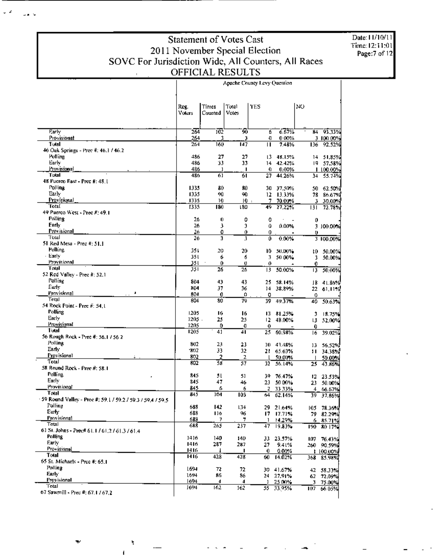**Apache County Levy Question** Times Total **YES NO** Reg. Votes Voters Counted 264 102 50  $-6.67%$ 84 93.33% Ä Provisional 264 Đ 0.00% 3 100 00% 3 264 160 TŤ 7.48% 136 92.52%  $\overline{11}$ 46 Ouk Springs - Prec #: 46.3 / 46.2 486 27 27 13 48.15% 14 51,85% 33 486 33 42.42% 19 57.58%  $14$ Provisional 1.100.00% 486  $\pmb{0}$ 0.00% I 486 61 ब 27 44.26% 34 55.74% 48 Puerco East - Prec #: 48.1 1335 80 80 30 37,50% 50 62.50% 1335 90 90 12 13:33% 78 86.67% Provisional 1335 10 10 7 70.00%  $\overline{\mathbf{3}}$ 30,00% 1335  $\overline{180}$ 180  $49$ 27,22% 131 72.78% 49 Puerco West - Prec #: 49.1 26  $\theta$ 0 o  $\mathfrak g$ 26  $\overline{\mathbf{3}}$  $\mathbf{3}$ û. 0.00% 3 100.00% Provisional O <u>26</u> 0 0 Ü  $\overline{26}$  $0.00%$ 3 100,00% E  $\overline{3}$ 0 51 Red Mesa - Prec #: 51.3  $351$ 20 20  $10 -$ 50.00% ţ0 50.00% 351 6 6 3 50 00% 3 50.00% Provisional 351  $\Omega$  $\mathbf{a}$  $\ddot{\mathbf{d}}$ 0 13 50.00% 26 351  $26$ 50,00%  $\overline{13}$ 52 Red Valley - Prec #: 52.1 804 43 43 25 58.14% 18 41.86% 804 37 36 14 38,89% 22 61,11% Provisional 804 0 Ô o ß 804 8Ò 39 49.37% 50.63% 79  $40$ 54 Rock Point - Prec #: 54.1 1205 16 16 13 81.25%  $\mathbf{3}$ 18.75% 1205 25 25 12 48:00% 13 52.00% Provisional 1205  $\boldsymbol{0}$ Ø  $\theta$  $\Omega$  $1205$ 25 60.98%  $\overline{41}$ 41 39.02% 16 56 Rough Rock - Prec #: 56.1 / 56.2 802 23 23 10 43.48% 13 56,52% 1802 33 32 21 65.63% 11 34.38% Provisional 802  $\overline{2}$  $\mathbf{I}$ 50.00% 50.00%  $802$ 38  $\overline{57}$  $32 - 56.14%$ 43.86%  $\overline{25}$ 58 Round Rock - Prec #: 58.1 845  $51$ 51 39 76.47% 12 23:53% 845 47 46 23 50.00% 23 50.00% Provisional 845 6 33 33% 6 Z.  $\overline{4}$ 66.67% 845  $\overline{104}$ 103  $39 - 37,86%$ 64 62.14% 59 Round Valley - Pree #: 59.1 / 59.2 / 59.3 / 59.4 / 59.5 688 142 1,34 29 21:64% 105 78.36% 688 116 96  $17$ 17.71% 79 82.29% Provisional ż 688 7 14,29%  $6 - 85.71%$ п. 688  $265$ 237  $\overline{17}$  $19.83%$  $190 - 80 + 7\%$ 61 St. Johns - Prec# 61.1 / 61.2 / 61.3 / 61.4

Date: 11/10/11 Time: 12:11:01 Page:7 of 12

Total 67 Sawmill - Prec #: 67.1 / 67.2

65 St. Michaels - Prec #: 65.1

 $\omega$  ,  $\omega^{\prime}$ 

والمرا

Early

Tutal

Polling

Early

Total

Polling

Early

**Total** 

Polling

Early

Total

Polling

 $\cdot$  Early

Total

Polling

Early

Total

Polling

Early

Tual

Polling

Early

Total

Polling

Early

Total

Polling

Early

Total

Polling

Provisional

Provisional

Early

Total

Polling

Early

ł,

1416

1416

1416

 $1416$ 

1694

1694

1694

1694

140

287

 $428$ 

72

86

 $\blacktriangleleft$ 

162

140

287

428

 $72$ 

86

 $\blacktriangleleft$ 

162

 $\blacksquare$ 

33 23.57%

60 14.02%

41.67%

27.91%

25.00%

55 33.95%

27

30

24

 $\Omega$ 

9.41%

0.00%

107 76.43%

260 90.59%

368 85.98%

42 58.33%

107 66 05%

72.09%

75.00% 3

62

1 100.00%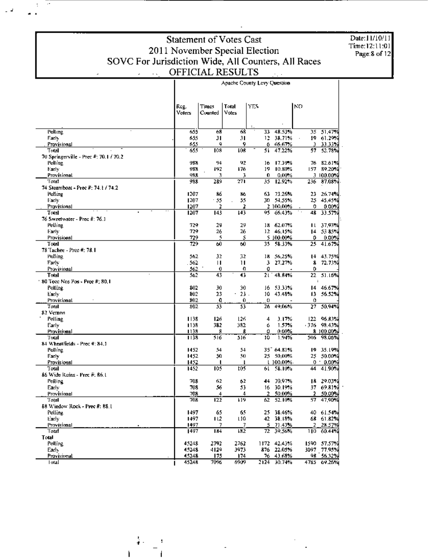Date:11/10/11 Time: 12:11:01<br>Page: 8 of 12

 $\mathbf{I}$ 

|                                        | Reg.         | Times               | Total   | YES.     |                        | KΩ      |                     |
|----------------------------------------|--------------|---------------------|---------|----------|------------------------|---------|---------------------|
|                                        | Voters       | Counted             | Votes   |          |                        |         |                     |
|                                        |              |                     |         |          |                        |         |                     |
| Polling                                | 655          | 68                  | 68      | 33       | 48.53%                 | 35.     | 51,47%              |
| Farly                                  | 655          | 31                  | 31      | 12.      | 38.71%                 |         | 19 61.29%           |
| Provisional                            | 655          | 9                   | 9       | 6.       | 66.67%                 | Э       | 33.33%              |
| Total                                  | 655          | 108                 | 108     | 51       | 47.22%                 | 57.     | 52.78%              |
| 70 Springerville - Prec #: 70.1 / 70.2 |              |                     |         |          |                        |         |                     |
| Polling                                | 988          | 94                  | 92      | 16       | 17.39%                 | 76      | 82.61%              |
| Early                                  | 988          | 192                 | 176     | 19       | 10.80%                 | 157.    | 89.20%              |
| Provisional                            | 988          | 3.                  | 3       | 0        | 0.00%                  |         | 3 100.00%           |
| Total                                  | 988          | 289                 | 271     | 35       | 12.92%                 | 236     | 87.03%              |
| 74 Steamboat - Prec #: 74 L / 74.2     |              |                     |         |          |                        |         |                     |
| Polline                                | 1207         | 86                  | 116     | 63.      | 73.26%                 | 23.     | 26.74%              |
| Early                                  | 1207         | $-55$               | 55<br>2 |          | 30 54.55%<br>2 100,00% | 0       | 25 45,45%           |
| Provisional<br>Total                   | 1207<br>1207 | 2<br>143            | 143     | 95       | 66.43%                 | 48      | 0.00%<br>33.57%     |
| 76 Sweetwater - Prec #: 76.1           |              |                     |         |          |                        |         |                     |
| Polling                                | 729          | 29                  | 29      |          | 18 62.07%              |         | 11 37,93%           |
| Early                                  | 729          | 26                  | 26      |          | 12 46.15%              |         | 14 53 85%           |
| <b>Provisional</b>                     | 729          | 5                   | 5       |          | 5 100,00%              | 0       | $0.00\%$            |
| Total                                  | 729          | 60                  | 60      | 35       | 58.33%                 | 25      | 41.67%              |
| 78 Tachee - Preo #: 78.1               |              |                     |         |          |                        |         |                     |
| Polling                                | 562          | 32                  | 32      | 18       | 56.25%                 | 14      | 43.75%              |
| Esrlv                                  | . 562        | $\mathbf{H}$        | Ш       | 3        | 27.27%                 | ß       | 72.73%              |
| Provisional                            | 562          | $\ddot{\mathbf{0}}$ | o       | 0        |                        | 0       |                     |
| Total                                  | 562          | 43                  | 43      | 21       | 48.84%                 | 22      | 51.16%              |
| $\pm$ 80 Teec Nos Pos - Prec #; 80,1   |              |                     |         |          |                        |         | ÷                   |
| Polling                                | 802          | 30                  | 30      | 16       | 53.33%                 | 14      | 46.67%              |
| Early                                  | 802          | 23                  | 23.     | 10       | 43.48%                 |         | 13 56.52%           |
| Provisional<br>Total                   | 802<br>802   | O<br>53             | 0<br>53 | 0<br>26  | 49.06%                 | 0<br>27 | 50,94%              |
| 82 Vernon                              |              |                     |         |          |                        |         |                     |
| Polling                                | 1138         | 126                 | 126     | 4        | 3.17%                  | 122     | 96.8.9%             |
| Early                                  | 1138         | 382                 | 382     | 6        | 1.57%                  |         | -376 - 98.43%       |
| Provisional                            | 1138         | 8                   | 8       | û        | 0.00%                  |         | 8 100.00%           |
| Total                                  | 1138         | 516                 | 516     | 10       | 1.94%                  | 506.    | 98.06%              |
| 84 Wheatfields - Prec #: 84.1          |              |                     |         |          |                        |         |                     |
| Polling                                | 1452         | 54                  | 54      |          | 35 64.81%              | 19      | 35.19%              |
| Early                                  | 1452         | 50                  | 50      | 25.      | 50,00%                 |         | 25 50.00%           |
| Provisional                            | 1452         | 1                   | ŧ       |          | $1,100,00\%$ .         |         | $0.00\%$            |
| Total                                  | 1452         | 105                 | 105     | 61.      | 58.10%                 | 44      | 41.90%              |
| 86 Wide Ruins - Prec #: 86.1           |              |                     |         |          |                        |         |                     |
| Polling                                | 703          | 62                  | 62      | 44       | 70.97%                 |         | 18 29.03%           |
| Early                                  | 703          | 56                  | 53<br>4 | 16       | 30.19%                 | 2       | 37 69.81%<br>50.00% |
| Provisional<br>Total                   | 708<br>708   | 4<br>122            | 119     | ż.<br>62 | 50.00%<br>52.10%       | 57      | 47,90%              |
| 88 Window Rock - Prec #: 88.1          |              |                     |         |          |                        |         |                     |
| Polling                                | 1497         | 65                  | 65      |          | 25 38.46%              |         | 40 61.54%           |
| Early                                  | 1497         | 112                 | L10     |          | 42 38.18%              |         | 68 61.82%           |
| Provisional                            | 1497         | 7.                  | 7.      |          | $5 - 71.43%$           |         | 2 28.57%            |
| Total                                  | 1497         | <b>IM</b>           | 182     |          | $72 - 39.56\%$         |         | 110 60.44%          |
| Total                                  |              |                     |         |          |                        |         |                     |
| Polling                                | 45248        | 2792                | 2762    |          | 1172 42.43%            |         | 1590 57.57%         |
| Early                                  | 45248        | 4129                | 3973    |          | 876 22.05%             |         | 3097 77.95%         |
| Provisional                            | 45248        | 175                 | 174     |          | 76 43.68%              |         | 98 56.32%           |
| Fotal                                  | 45248        | 7096                | 6909    |          | 2124 30.74%            |         | 4785 69.26%         |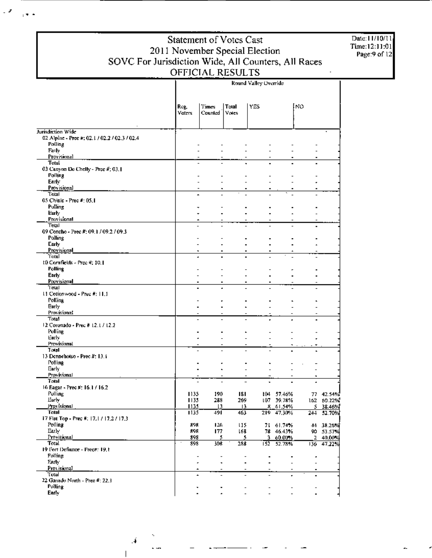L.P

 $\frac{1}{2}$ 

Date: 11/10/11 Time:12:11:01<br>Page:9 of 12

|                                                |                | Round Valley Override                                |                |                                                      |                        |     |                            |  |  |
|------------------------------------------------|----------------|------------------------------------------------------|----------------|------------------------------------------------------|------------------------|-----|----------------------------|--|--|
|                                                | Reg.<br>Voters | Times<br>Counted                                     | Total<br>Votes | YES                                                  |                        | INO |                            |  |  |
| Jurisdiction Wide                              |                |                                                      |                |                                                      |                        |     |                            |  |  |
| 02. Alpine - Pree #: 02.1 / 02.2 / 02.3 / 02.4 |                |                                                      |                |                                                      |                        |     |                            |  |  |
| Polling<br>Faily                               |                |                                                      |                |                                                      |                        |     |                            |  |  |
| Provisional                                    |                |                                                      |                |                                                      |                        |     |                            |  |  |
| Total                                          |                |                                                      |                |                                                      |                        |     |                            |  |  |
| 03 Canyon De Chelly - Pree $\vec{\pi}$ ; 03.1  |                |                                                      |                |                                                      |                        |     |                            |  |  |
| Polling<br>Early                               |                |                                                      |                |                                                      |                        |     |                            |  |  |
| Provisional                                    |                |                                                      | ٠              | ٠                                                    | ٠                      |     |                            |  |  |
| Total                                          |                | ×                                                    |                |                                                      |                        |     |                            |  |  |
| 05 Chinle - Prec #: 05.1                       |                |                                                      |                |                                                      |                        |     |                            |  |  |
| Pulling<br>Early                               |                |                                                      |                |                                                      |                        |     |                            |  |  |
| Provisional                                    |                | ۰                                                    |                |                                                      |                        |     |                            |  |  |
| Total                                          |                |                                                      |                |                                                      |                        |     |                            |  |  |
| 09 Concho - Prec #: 09.1 / 09.2 / 09.3         |                |                                                      |                |                                                      |                        |     |                            |  |  |
| Polling<br>Carly                               |                |                                                      |                |                                                      |                        |     |                            |  |  |
| Provisional                                    |                |                                                      |                |                                                      |                        |     |                            |  |  |
| Total                                          |                |                                                      |                |                                                      |                        |     |                            |  |  |
| 10 Cornfields - Prec #: 10.1                   |                |                                                      |                |                                                      |                        |     |                            |  |  |
| Polling<br>Early                               |                |                                                      |                |                                                      |                        |     |                            |  |  |
| Provisional                                    |                |                                                      |                | $\blacksquare$<br>$\blacksquare$                     |                        |     |                            |  |  |
| Total                                          |                |                                                      |                |                                                      |                        |     |                            |  |  |
| 11 Cottonwood - Prec #: 11.1                   |                |                                                      |                |                                                      |                        |     |                            |  |  |
| Polling                                        |                |                                                      |                |                                                      |                        |     |                            |  |  |
| Early<br>Provisional                           |                |                                                      |                |                                                      |                        |     |                            |  |  |
| Total                                          |                |                                                      |                |                                                      |                        |     |                            |  |  |
| 12 Coronado - Prec # 12.1 / 12.2               |                |                                                      |                |                                                      |                        |     |                            |  |  |
| Polling                                        |                |                                                      |                |                                                      |                        |     |                            |  |  |
| Early<br>Provisional                           |                |                                                      |                |                                                      |                        |     |                            |  |  |
| Total                                          |                |                                                      |                |                                                      |                        |     |                            |  |  |
| 13 Dennehotso - Prec #: 13.1                   |                |                                                      |                |                                                      |                        |     |                            |  |  |
| Polling                                        |                |                                                      |                |                                                      |                        |     |                            |  |  |
| Early:<br>Provisional                          |                |                                                      |                |                                                      |                        |     |                            |  |  |
| Total                                          |                |                                                      |                |                                                      |                        | ٠   |                            |  |  |
| 16 Eagar - Prec #: 16.1 / 16.2                 |                |                                                      |                |                                                      |                        |     |                            |  |  |
| Polling                                        | 1135           | 190                                                  | 181            |                                                      | 104 57.46%             |     | 77 42.54%                  |  |  |
| Eurly<br>Provisional                           | 1135.<br>1135  | 288<br>13                                            | 269.<br>13     |                                                      | 107 39.78%<br>8 61,54% |     | 162 60.22%<br>$5 - 38.46%$ |  |  |
| Tatal                                          | 1135           | 491                                                  | 463            |                                                      | 219 47,30%             |     | 244 52.70%                 |  |  |
| 17 Flat Top - Prec #: 17.1 / 17.2 / 17.3       |                |                                                      |                |                                                      |                        |     |                            |  |  |
| Polling                                        | 898            | 126                                                  | 115            |                                                      | 71 61.74%              |     | 44 38.26%                  |  |  |
| Early<br>Provisional                           | 898<br>398     | 177<br>5.                                            | 16B            | 5.                                                   | 78 46.43%<br>3 60.00%  |     | 90 53.57%<br>2 40,00%      |  |  |
| Total <sup>-</sup>                             | 898            | 308                                                  | 288            |                                                      | 152 52.78%             |     | 136 47.22%                 |  |  |
| 19 Fort Defiance - Prec#: 19.1                 |                |                                                      |                |                                                      |                        |     |                            |  |  |
| Polling                                        |                | $\overline{\phantom{a}}$<br>$\overline{\phantom{0}}$ |                | $\qquad \qquad \blacksquare$                         | $\blacksquare$         | ٠   |                            |  |  |
| Farly<br>Provisional                           |                | ٠<br>٠<br>۰                                          |                | $\blacksquare$<br>$\blacksquare$                     | $\overline{a}$         |     |                            |  |  |
| Total                                          |                | $\tilde{\phantom{a}}$<br>$\overline{a}$              |                | $\overline{\phantom{a}}$                             |                        | ٠   |                            |  |  |
| 22 Ganado North - Prec #: 22.3                 |                |                                                      |                |                                                      |                        |     |                            |  |  |
| Polling<br>Early                               |                | $\blacksquare$                                       |                | $\overline{\phantom{0}}$<br>$\overline{\phantom{0}}$ |                        |     |                            |  |  |
|                                                |                |                                                      |                |                                                      |                        |     |                            |  |  |

4.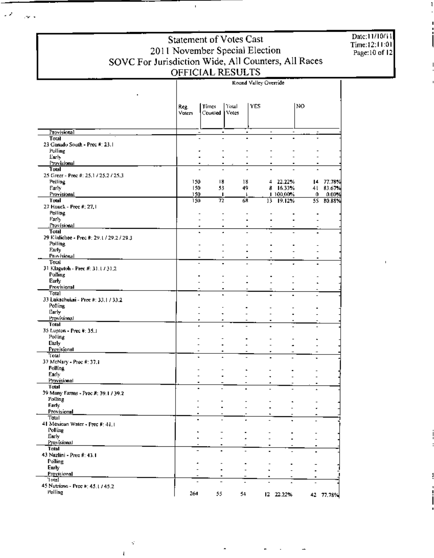Date:11/10/11 Time:12:11:01<br>Page:10 of 12

### Statement of Votes Cast 2011 November Special Election<br>SOVC For Jurisdiction Wide, All Counters, All Races<br>OFFICIAL RESULTS

 $\bar{\mathbf{r}}$ 

 $\mathcal{L}$ 

 $\sim$   $\sim$ 

|                                              |                               |                                            |                                       | Round Valley Override    |                          |                              |                    |
|----------------------------------------------|-------------------------------|--------------------------------------------|---------------------------------------|--------------------------|--------------------------|------------------------------|--------------------|
|                                              | Reg.<br>Voters                | Times<br>Counted                           | Total<br>Votes                        | YES                      |                          | NO                           |                    |
|                                              |                               |                                            |                                       |                          |                          |                              |                    |
| Provisional                                  |                               |                                            | ٠<br>٠                                | $\overline{\phantom{a}}$ | $\overline{\phantom{a}}$ |                              |                    |
| Total<br>23 Ganado South - Prec #: 23.1      |                               |                                            |                                       |                          |                          |                              |                    |
| Polling                                      |                               |                                            |                                       |                          |                          |                              |                    |
| Early                                        |                               |                                            |                                       |                          |                          |                              |                    |
| <b>Frovisional</b><br>Total                  |                               |                                            |                                       |                          |                          |                              |                    |
| 25 Greet - Prec #: 25.1 / 25.2 / 25.3        |                               |                                            |                                       |                          |                          |                              |                    |
| Polling                                      | 150                           | 18                                         | 18                                    |                          | 4 22.22%                 |                              | 14 77.78%          |
| Early                                        | 150                           | 53                                         | 49.                                   |                          | 8 16.33%                 |                              | 41 83.67%          |
| Provisional<br>Total                         | 150<br>150                    | л.<br>72                                   | $\mathsf{F}$<br>68                    | 13.                      | 1.100,00%<br>19.12%      | 0.                           | 0.00%<br>55 80.88% |
| 27 Houck - Prec #; 27,1                      |                               |                                            |                                       |                          |                          |                              |                    |
| Polling                                      |                               | $\overline{\phantom{a}}$                   |                                       |                          |                          |                              |                    |
| Early                                        |                               | $\overline{a}$<br>$\overline{\phantom{a}}$ |                                       |                          |                          |                              |                    |
| Provisional<br>Total                         |                               | ٠<br>$\blacksquare$                        |                                       |                          |                          |                              |                    |
| 29 Küdichee - Prec #: 29.1 / 29.2 / 29.3     |                               |                                            |                                       |                          |                          |                              |                    |
| <b>Polling</b>                               |                               |                                            |                                       |                          |                          |                              |                    |
| Early<br>Provisional                         |                               |                                            |                                       |                          |                          |                              |                    |
| Total                                        |                               | $\overline{a}$                             | ٠                                     |                          |                          |                              |                    |
| 31 Klagetoh - Prec #: 31.1 / 31,2            |                               |                                            |                                       |                          |                          |                              |                    |
| Polling                                      |                               |                                            |                                       |                          |                          |                              |                    |
| Early<br>Provisional                         |                               |                                            | $\overline{\phantom{0}}$              |                          |                          |                              |                    |
| Total                                        |                               |                                            | $\blacksquare$<br>L.                  |                          |                          |                              |                    |
| 33 Lukachukai - Prec #: 33.1 / 33.2          |                               |                                            |                                       |                          |                          |                              |                    |
| Polling<br>Carly                             |                               |                                            |                                       |                          |                          |                              |                    |
| Provisional                                  |                               |                                            |                                       |                          |                          |                              |                    |
| Tatal                                        |                               | ÷                                          |                                       |                          |                          |                              |                    |
| 35 Lupton - Prec #: 35.1                     |                               |                                            |                                       |                          |                          |                              |                    |
| Polling<br>Early                             |                               |                                            |                                       |                          |                          |                              |                    |
| Provisional                                  |                               | $\blacksquare$                             | $\hat{\phantom{a}}$<br>$\blacksquare$ |                          |                          |                              |                    |
| Total                                        | ٠                             |                                            |                                       | ٠                        |                          | $\qquad \qquad \blacksquare$ |                    |
| 37 McNary - Prec #: 37.1                     |                               |                                            |                                       |                          |                          |                              |                    |
| Polling<br>Early                             |                               |                                            |                                       |                          |                          |                              |                    |
| Provisional                                  | $\overline{\phantom{a}}$<br>٠ |                                            | $\overline{a}$                        | ٠                        |                          |                              |                    |
| Total                                        |                               |                                            |                                       |                          |                          | $\overline{a}$               |                    |
| 39 Many Farms - Prec #: 39.1 / 39.2          |                               |                                            |                                       |                          |                          |                              |                    |
| Polling<br>Early                             |                               |                                            |                                       |                          |                          |                              |                    |
| Provisional                                  | $\overline{\phantom{0}}$      |                                            |                                       |                          |                          |                              |                    |
| Total                                        | ۰                             |                                            |                                       |                          |                          |                              |                    |
| 41 Mexican Water - Prec #: 41.1<br>Polling   |                               |                                            |                                       |                          |                          |                              |                    |
| Early                                        | ×.                            |                                            |                                       |                          |                          |                              |                    |
| Provisional                                  |                               |                                            |                                       | ٠                        |                          |                              |                    |
| Tatal                                        |                               |                                            |                                       |                          |                          |                              |                    |
| 43 Nazlini - Prec #: 43.1<br>Polling         |                               |                                            |                                       |                          |                          |                              |                    |
| Early                                        |                               | $\overline{a}$                             |                                       |                          |                          |                              |                    |
| Provisional                                  |                               | $\blacksquare$<br>٠                        |                                       |                          |                          | ۰                            |                    |
| 'Total                                       |                               | $\overline{a}$                             |                                       |                          |                          |                              |                    |
| 45 Nutrioso - Pree #: 45.1 / 45.2<br>Polling |                               |                                            |                                       |                          |                          |                              |                    |
|                                              | 264                           | 55.                                        | 54                                    |                          | 12 22.22%                |                              | 42 77.78%          |

∸

 $\varphi$ 

 $\overline{4}$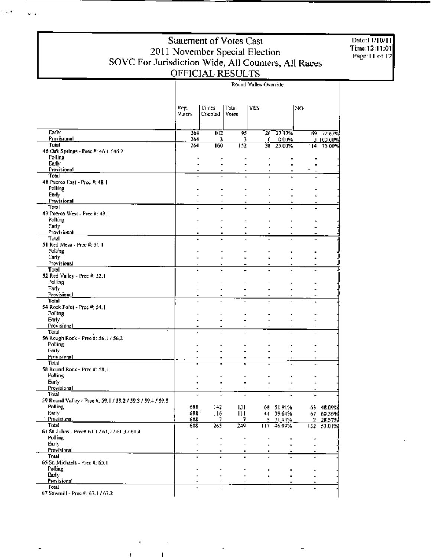Date:11/10/11 Time:12:11:01<br>Page:11 of 12

|                                                            | Round Valley Override    |                          |                  |      |           |                |           |  |
|------------------------------------------------------------|--------------------------|--------------------------|------------------|------|-----------|----------------|-----------|--|
|                                                            | Reg.                     | <b>Times</b>             | Total            | YES. |           | NO.            |           |  |
|                                                            | Voters                   | Counted                  | Votes            |      |           |                |           |  |
| Early                                                      | 264                      | 102                      | 95               |      | 26 27.37% |                | 69 72,63% |  |
| Provisional                                                | 264                      | 3                        | 3                | 0    | 0.00%     |                | 3 100.00% |  |
| Total                                                      | 264                      | 160                      | $\overline{152}$ |      | 38 25.00% | 114            | 75.00%    |  |
| 46 Oak Springs - Prec #: 46.1 / 46.2<br>Polling            |                          |                          |                  |      |           |                |           |  |
| Early                                                      |                          |                          |                  |      |           |                |           |  |
| <b>Provisional</b>                                         |                          | $\overline{\phantom{a}}$ | $\blacksquare$   |      |           |                |           |  |
| Total                                                      |                          |                          |                  |      |           |                |           |  |
| 48 Puerco East - Prec #: 48.1                              |                          |                          |                  |      |           |                |           |  |
| Polling                                                    |                          |                          |                  |      |           |                |           |  |
| Early.                                                     |                          |                          |                  |      |           |                |           |  |
| Provisional                                                |                          |                          | ٠                | ۰    |           |                |           |  |
| Total<br>49 Puerco West - Prec #: 49.1                     |                          |                          |                  |      |           |                |           |  |
| Palling                                                    |                          |                          |                  |      |           |                |           |  |
| Early                                                      |                          |                          |                  |      |           |                |           |  |
| Provisional                                                | $\blacksquare$           |                          |                  |      |           |                |           |  |
| Tutal                                                      |                          |                          |                  |      |           |                |           |  |
| 51 Red Mesa - Proc #: 51.1                                 |                          |                          |                  |      |           |                |           |  |
| Polling                                                    |                          |                          |                  |      |           |                |           |  |
| Early:                                                     |                          |                          |                  |      |           |                |           |  |
| Provisional                                                |                          |                          |                  | ٠    |           |                |           |  |
| Total                                                      |                          |                          |                  |      |           |                |           |  |
| 52 Red Valley - Prec #: 52.1<br>Polling                    |                          |                          |                  |      |           |                |           |  |
| Early                                                      |                          | ٠                        | $\blacksquare$   |      |           |                |           |  |
| Provisional                                                | ٠                        | ٠                        |                  |      |           |                |           |  |
| Total                                                      |                          |                          |                  |      |           |                |           |  |
| 54 Rock Point - Prec #: 54.1                               |                          |                          |                  |      |           |                |           |  |
| Polling                                                    |                          |                          |                  |      |           |                |           |  |
| Early                                                      |                          |                          |                  | ×.   |           |                |           |  |
| Provisional                                                |                          | ٠                        |                  |      |           |                |           |  |
| Totul<br>56 Rough Rock - Pree #: 56.1 / 56.2               |                          |                          |                  |      |           |                |           |  |
| Polling                                                    |                          |                          |                  |      |           |                |           |  |
| Farly                                                      |                          |                          |                  |      |           |                |           |  |
| Provisional                                                |                          |                          |                  | ۰    |           |                |           |  |
| Total                                                      |                          |                          |                  |      |           |                |           |  |
| 58 Round Rock - Prec #: 58,1                               |                          |                          |                  |      |           |                |           |  |
| Polling                                                    |                          |                          |                  |      |           |                |           |  |
| Early                                                      |                          | $\blacksquare$           | $\blacksquare$   | 4    |           |                |           |  |
| Provisional<br>Total                                       |                          |                          |                  |      |           |                |           |  |
| 59 Round Valley - Prec #: 59.1 / 59.2 / 59.3 / 59.4 / 59.5 |                          |                          | $\overline{a}$   |      |           |                |           |  |
| Polling                                                    | 688                      | 142                      | 131              |      | 68 51.91% |                | 63 48.09% |  |
| Early                                                      | $688 -$                  | 116                      | Ш                |      | 44 39.64% |                | 67 60.36% |  |
| <b>Provisional</b>                                         | 688                      | 7.                       | 7.               |      | 5 71,43%  | $\overline{2}$ | 28.57%    |  |
| Total                                                      | 683                      | 265                      | 219              | 117  | 46.99%    | 132            | 53.01%)   |  |
| 61 St. Johns - Pree# 61.1 / 61.2 / 61.3 / 61.4             |                          |                          |                  |      |           |                |           |  |
| <b>Polling</b>                                             | Ĭ.                       | $\overline{\phantom{a}}$ |                  |      | ٠         | ٠              |           |  |
| Early:                                                     | ۰                        |                          |                  |      |           |                |           |  |
| Provisional<br>Total                                       | $\overline{\phantom{a}}$ | ۰                        | ٠                | ٠    |           |                |           |  |
| 65 St. Michaels - Prec #: 65.1                             | ۰                        | $\blacksquare$           | $\blacksquare$   |      |           |                |           |  |
| Polline                                                    |                          |                          |                  |      |           |                |           |  |
| Carly                                                      | $\overline{\phantom{0}}$ | $\overline{\phantom{0}}$ | -                |      |           |                |           |  |
| Provisional                                                |                          | $\overline{a}$           |                  |      |           |                |           |  |
| Total                                                      |                          |                          |                  |      |           |                |           |  |
| 67 Sawmill - Prec #: 67.1 / 67.2                           |                          |                          |                  |      |           |                |           |  |

نم بر ا

 $\sim$   $\sim$ 

 $\mathbf{r}$ 

 $\mathbf{I}$ 

L